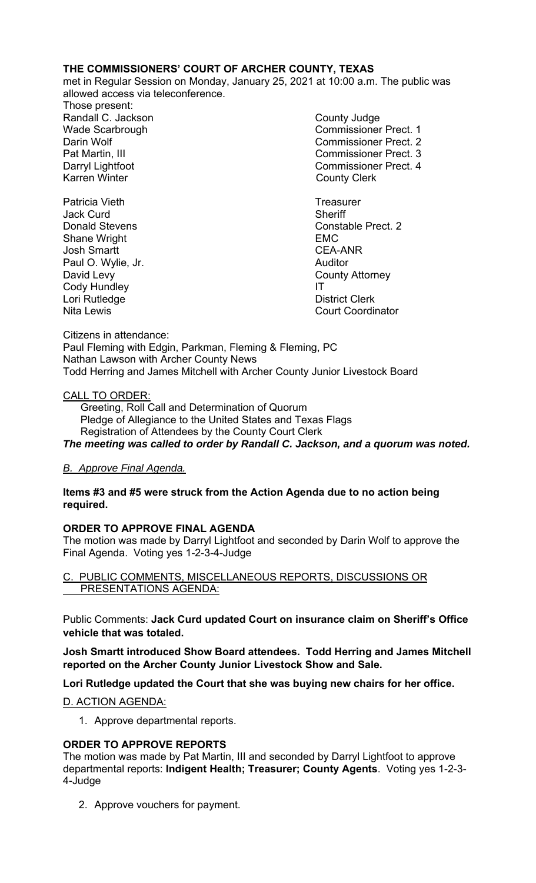## **THE COMMISSIONERS' COURT OF ARCHER COUNTY, TEXAS**

met in Regular Session on Monday, January 25, 2021 at 10:00 a.m. The public was allowed access via teleconference.

Those present: Randall C. Jackson County Judge Karren Winter **County Clerk** 

Patricia Vieth **Treasurer** Controllering and Treasurer Jack Curd **Sheriff** Shane Wright **EMC** Josh Smartt CEA-ANR Paul O. Wylie, Jr. **Auditor Paul O. Wylie, Jr. Auditor** David Levy **County Attorney** Cody Hundley **IT** Lori Rutledge **District Clerk** 

Wade Scarbrough Commissioner Prect. 1 Darin Wolf Commissioner Prect. 2 Pat Martin, III Commissioner Prect. 3 Darryl Lightfoot **Commissioner Prect. 4** 

Donald Stevens **Constable Prect.** 2 Nita Lewis **Nita Lewis** Court Coordinator

Citizens in attendance: Paul Fleming with Edgin, Parkman, Fleming & Fleming, PC Nathan Lawson with Archer County News Todd Herring and James Mitchell with Archer County Junior Livestock Board

CALL TO ORDER:

 Greeting, Roll Call and Determination of Quorum Pledge of Allegiance to the United States and Texas Flags Registration of Attendees by the County Court Clerk *The meeting was called to order by Randall C. Jackson, and a quorum was noted.* 

## *B. Approve Final Agenda.*

## **Items #3 and #5 were struck from the Action Agenda due to no action being required.**

### **ORDER TO APPROVE FINAL AGENDA**

The motion was made by Darryl Lightfoot and seconded by Darin Wolf to approve the Final Agenda. Voting yes 1-2-3-4-Judge

PUBLIC COMMENTS, MISCELLANEOUS REPORTS, DISCUSSIONS OR PRESENTATIONS AGENDA:

Public Comments: **Jack Curd updated Court on insurance claim on Sheriff's Office vehicle that was totaled.** 

**Josh Smartt introduced Show Board attendees. Todd Herring and James Mitchell reported on the Archer County Junior Livestock Show and Sale.** 

**Lori Rutledge updated the Court that she was buying new chairs for her office.** 

D. ACTION AGENDA:

1. Approve departmental reports.

## **ORDER TO APPROVE REPORTS**

The motion was made by Pat Martin, III and seconded by Darryl Lightfoot to approve departmental reports: **Indigent Health; Treasurer; County Agents**. Voting yes 1-2-3- 4-Judge

2. Approve vouchers for payment.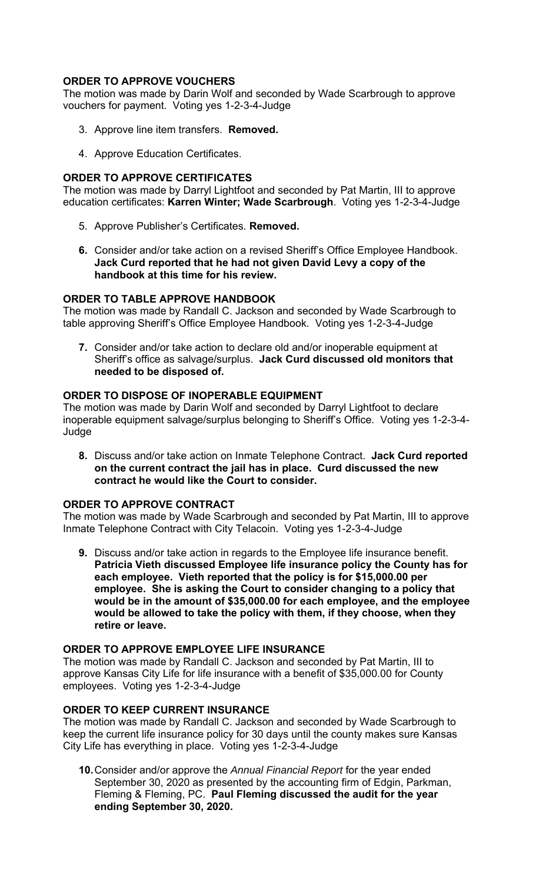## **ORDER TO APPROVE VOUCHERS**

The motion was made by Darin Wolf and seconded by Wade Scarbrough to approve vouchers for payment. Voting yes 1-2-3-4-Judge

- 3. Approve line item transfers. **Removed.**
- 4. Approve Education Certificates.

### **ORDER TO APPROVE CERTIFICATES**

The motion was made by Darryl Lightfoot and seconded by Pat Martin, III to approve education certificates: **Karren Winter; Wade Scarbrough**. Voting yes 1-2-3-4-Judge

- 5. Approve Publisher's Certificates. **Removed.**
- **6.** Consider and/or take action on a revised Sheriff's Office Employee Handbook. **Jack Curd reported that he had not given David Levy a copy of the handbook at this time for his review.**

### **ORDER TO TABLE APPROVE HANDBOOK**

The motion was made by Randall C. Jackson and seconded by Wade Scarbrough to table approving Sheriff's Office Employee Handbook. Voting yes 1-2-3-4-Judge

**7.** Consider and/or take action to declare old and/or inoperable equipment at Sheriff's office as salvage/surplus. **Jack Curd discussed old monitors that needed to be disposed of.** 

### **ORDER TO DISPOSE OF INOPERABLE EQUIPMENT**

The motion was made by Darin Wolf and seconded by Darryl Lightfoot to declare inoperable equipment salvage/surplus belonging to Sheriff's Office. Voting yes 1-2-3-4- Judge

**8.** Discuss and/or take action on Inmate Telephone Contract. **Jack Curd reported on the current contract the jail has in place. Curd discussed the new contract he would like the Court to consider.** 

### **ORDER TO APPROVE CONTRACT**

The motion was made by Wade Scarbrough and seconded by Pat Martin, III to approve Inmate Telephone Contract with City Telacoin. Voting yes 1-2-3-4-Judge

**9.** Discuss and/or take action in regards to the Employee life insurance benefit. **Patricia Vieth discussed Employee life insurance policy the County has for each employee. Vieth reported that the policy is for \$15,000.00 per employee. She is asking the Court to consider changing to a policy that would be in the amount of \$35,000.00 for each employee, and the employee would be allowed to take the policy with them, if they choose, when they retire or leave.** 

# **ORDER TO APPROVE EMPLOYEE LIFE INSURANCE**

The motion was made by Randall C. Jackson and seconded by Pat Martin, III to approve Kansas City Life for life insurance with a benefit of \$35,000.00 for County employees. Voting yes 1-2-3-4-Judge

#### **ORDER TO KEEP CURRENT INSURANCE**

The motion was made by Randall C. Jackson and seconded by Wade Scarbrough to keep the current life insurance policy for 30 days until the county makes sure Kansas City Life has everything in place. Voting yes 1-2-3-4-Judge

**10.** Consider and/or approve the *Annual Financial Report* for the year ended September 30, 2020 as presented by the accounting firm of Edgin, Parkman, Fleming & Fleming, PC. **Paul Fleming discussed the audit for the year ending September 30, 2020.**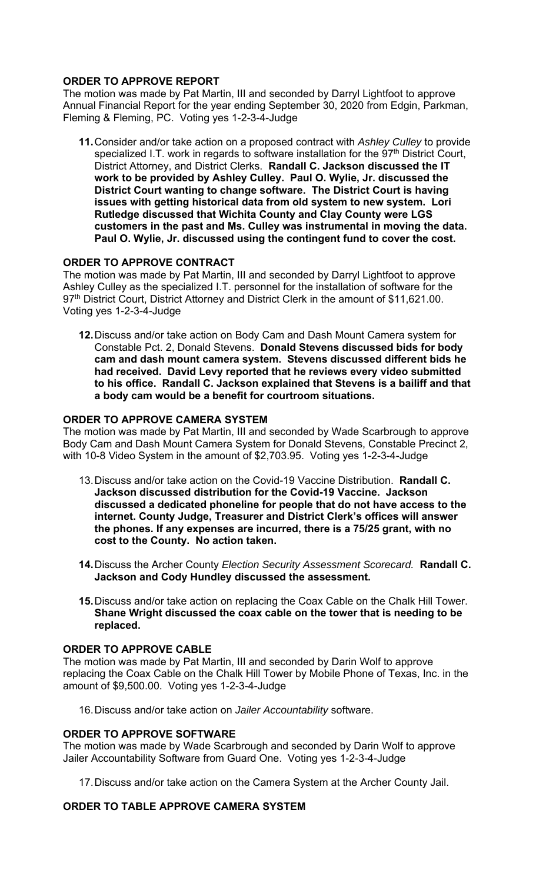# **ORDER TO APPROVE REPORT**

The motion was made by Pat Martin, III and seconded by Darryl Lightfoot to approve Annual Financial Report for the year ending September 30, 2020 from Edgin, Parkman, Fleming & Fleming, PC. Voting yes 1-2-3-4-Judge

**11.** Consider and/or take action on a proposed contract with *Ashley Culley* to provide specialized I.T. work in regards to software installation for the  $97<sup>th</sup>$  District Court, District Attorney, and District Clerks. **Randall C. Jackson discussed the IT work to be provided by Ashley Culley. Paul O. Wylie, Jr. discussed the District Court wanting to change software. The District Court is having issues with getting historical data from old system to new system. Lori Rutledge discussed that Wichita County and Clay County were LGS customers in the past and Ms. Culley was instrumental in moving the data. Paul O. Wylie, Jr. discussed using the contingent fund to cover the cost.** 

## **ORDER TO APPROVE CONTRACT**

The motion was made by Pat Martin, III and seconded by Darryl Lightfoot to approve Ashley Culley as the specialized I.T. personnel for the installation of software for the 97<sup>th</sup> District Court, District Attorney and District Clerk in the amount of \$11,621.00. Voting yes 1-2-3-4-Judge

**12.** Discuss and/or take action on Body Cam and Dash Mount Camera system for Constable Pct. 2, Donald Stevens. **Donald Stevens discussed bids for body cam and dash mount camera system. Stevens discussed different bids he had received. David Levy reported that he reviews every video submitted to his office. Randall C. Jackson explained that Stevens is a bailiff and that a body cam would be a benefit for courtroom situations.** 

### **ORDER TO APPROVE CAMERA SYSTEM**

The motion was made by Pat Martin, III and seconded by Wade Scarbrough to approve Body Cam and Dash Mount Camera System for Donald Stevens, Constable Precinct 2, with 10-8 Video System in the amount of \$2,703.95. Voting yes 1-2-3-4-Judge

- 13. Discuss and/or take action on the Covid-19 Vaccine Distribution. **Randall C. Jackson discussed distribution for the Covid-19 Vaccine. Jackson discussed a dedicated phoneline for people that do not have access to the internet. County Judge, Treasurer and District Clerk's offices will answer the phones. If any expenses are incurred, there is a 75/25 grant, with no cost to the County. No action taken.**
- **14.** Discuss the Archer County *Election Security Assessment Scorecard.* **Randall C. Jackson and Cody Hundley discussed the assessment.**
- **15.** Discuss and/or take action on replacing the Coax Cable on the Chalk Hill Tower. **Shane Wright discussed the coax cable on the tower that is needing to be replaced.**

#### **ORDER TO APPROVE CABLE**

The motion was made by Pat Martin, III and seconded by Darin Wolf to approve replacing the Coax Cable on the Chalk Hill Tower by Mobile Phone of Texas, Inc. in the amount of \$9,500.00. Voting yes 1-2-3-4-Judge

16. Discuss and/or take action on *Jailer Accountability* software.

#### **ORDER TO APPROVE SOFTWARE**

The motion was made by Wade Scarbrough and seconded by Darin Wolf to approve Jailer Accountability Software from Guard One. Voting yes 1-2-3-4-Judge

17. Discuss and/or take action on the Camera System at the Archer County Jail.

# **ORDER TO TABLE APPROVE CAMERA SYSTEM**